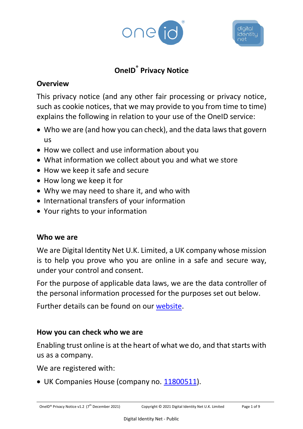



# **OneID® Privacy Notice**

### **Overview**

This privacy notice (and any other fair processing or privacy notice, such as cookie notices, that we may provide to you from time to time) explains the following in relation to your use of the OneID service:

- Who we are (and how you can check), and the data laws that govern us
- How we collect and use information about you
- What information we collect about you and what we store
- How we keep it safe and secure
- How long we keep it for
- Why we may need to share it, and who with
- International transfers of your information
- Your rights to your information

# **Who we are**

We are Digital Identity Net U.K. Limited, a UK company whose mission is to help you prove who you are online in a safe and secure way, under your control and consent.

For the purpose of applicable data laws, we are the data controller of the personal information processed for the purposes set out below.

Further details can be found on our [website.](https://www.digiidnet.co.uk/about-us/)

# **How you can check who we are**

Enabling trust online is at the heart of what we do, and that starts with us as a company.

We are registered with:

• UK Companies House (company no. [11800511\)](https://find-and-update.company-information.service.gov.uk/company/11800511).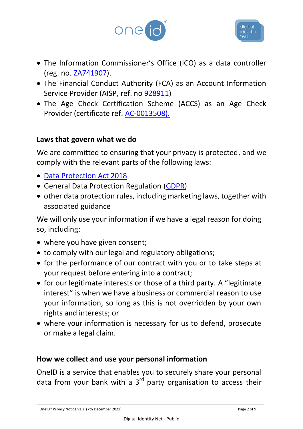



- The Information Commissioner's Office (ICO) as a data controller (reg. no. [ZA741907\)](https://ico.org.uk/ESDWebPages/Entry/ZA741907).
- The Financial Conduct Authority (FCA) as an Account Information Service Provider (AISP, ref. no [928911\)](https://register.fca.org.uk/s/firm?id=0014G00002WMs70QAD)
- The Age Check Certification Scheme (ACCS) as an Age Check Provider (certificate ref. [AC-0013508\)](https://www.accscheme.com/registry).

#### **Laws that govern what we do**

We are committed to ensuring that your privacy is protected, and we comply with the relevant parts of the following laws:

- [Data Protection Act 2018](https://www.legislation.gov.uk/ukpga/2018/12/contents/enacted)
- General Data Protection Regulation [\(GDPR\)](https://eur-lex.europa.eu/eli/reg/2016/679/oj)
- other data protection rules, including marketing laws, together with associated guidance

We will only use your information if we have a legal reason for doing so, including:

- where you have given consent;
- to comply with our legal and regulatory obligations;
- for the performance of our contract with you or to take steps at your request before entering into a contract;
- for our legitimate interests or those of a third party. A "legitimate interest" is when we have a business or commercial reason to use your information, so long as this is not overridden by your own rights and interests; or
- where your information is necessary for us to defend, prosecute or make a legal claim.

#### **How we collect and use your personal information**

OneID is a service that enables you to securely share your personal data from your bank with a  $3<sup>rd</sup>$  party organisation to access their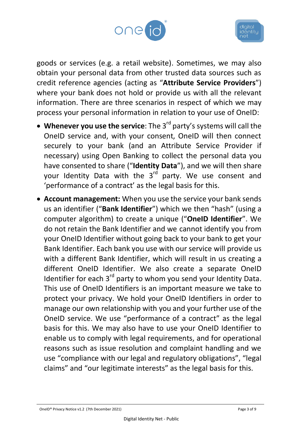



goods or services (e.g. a retail website). Sometimes, we may also obtain your personal data from other trusted data sources such as credit reference agencies (acting as "**Attribute Service Providers**") where your bank does not hold or provide us with all the relevant information. There are three scenarios in respect of which we may process your personal information in relation to your use of OneID:

- **Whenever you use the service**: The 3rd party's systems will call the OneID service and, with your consent, OneID will then connect securely to your bank (and an Attribute Service Provider if necessary) using Open Banking to collect the personal data you have consented to share ("**Identity Data**"), and we will then share your Identity Data with the 3<sup>rd</sup> party. We use consent and 'performance of a contract' as the legal basis for this.
- **Account management:** When you use the service your bank sends us an identifier ("**Bank Identifier**") which we then "hash" (using a computer algorithm) to create a unique ("**OneID Identifier**". We do not retain the Bank Identifier and we cannot identify you from your OneID Identifier without going back to your bank to get your Bank Identifier. Each bank you use with our service will provide us with a different Bank Identifier, which will result in us creating a different OneID Identifier. We also create a separate OneID Identifier for each 3<sup>rd</sup> party to whom you send your Identity Data. This use of OneID Identifiers is an important measure we take to protect your privacy. We hold your OneID Identifiers in order to manage our own relationship with you and your further use of the OneID service. We use "performance of a contract" as the legal basis for this. We may also have to use your OneID Identifier to enable us to comply with legal requirements, and for operational reasons such as issue resolution and complaint handling and we use "compliance with our legal and regulatory obligations", "legal claims" and "our legitimate interests" as the legal basis for this.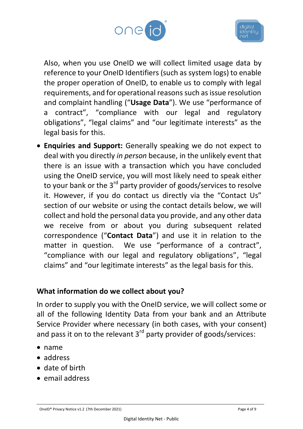



Also, when you use OneID we will collect limited usage data by reference to your OneID Identifiers (such as system logs) to enable the proper operation of OneID, to enable us to comply with legal requirements, and for operational reasons such as issue resolution and complaint handling ("**Usage Data**"). We use "performance of a contract", "compliance with our legal and regulatory obligations", "legal claims" and "our legitimate interests" as the legal basis for this.

• **Enquiries and Support:** Generally speaking we do not expect to deal with you directly *in person* because, in the unlikely event that there is an issue with a transaction which you have concluded using the OneID service, you will most likely need to speak either to your bank or the 3<sup>rd</sup> party provider of goods/services to resolve it. However, if you do contact us directly via the "Contact Us" section of our website or using the contact details below, we will collect and hold the personal data you provide, and any other data we receive from or about you during subsequent related correspondence ("**Contact Data**") and use it in relation to the matter in question. We use "performance of a contract", "compliance with our legal and regulatory obligations", "legal claims" and "our legitimate interests" as the legal basis for this.

#### **What information do we collect about you?**

In order to supply you with the OneID service, we will collect some or all of the following Identity Data from your bank and an Attribute Service Provider where necessary (in both cases, with your consent) and pass it on to the relevant  $3<sup>rd</sup>$  party provider of goods/services:

- name
- address
- date of birth
- email address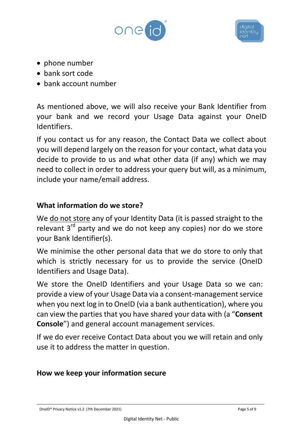



- phone number
- bank sort code
- bank account number

As mentioned above, we will also receive your Bank Identifier from your bank and we record your Usage Data against your OneID Identifiers.

If you contact us for any reason, the Contact Data we collect about you will depend largely on the reason for your contact, what data you decide to provide to us and what other data (if any) which we may need to collect in order to address your query but will, as a minimum, include your name/email address.

### **What information do we store?**

We do not store any of your Identity Data (it is passed straight to the relevant  $3^{rd}$  party and we do not keep any copies) nor do we store your Bank Identifier(s).

We minimise the other personal data that we do store to only that which is strictly necessary for us to provide the service (OneID Identifiers and Usage Data).

We store the OneID Identifiers and your Usage Data so we can: provide a view of your Usage Data via a consent-management service when you next log in to OneID (via a bank authentication), where you can view the parties that you have shared your data with (a "**Consent Console**") and general account management services.

If we do ever receive Contact Data about you we will retain and only use it to address the matter in question.

# **How we keep your information secure**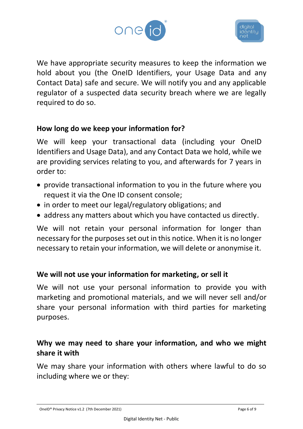



We have appropriate security measures to keep the information we hold about you (the OneID Identifiers, your Usage Data and any Contact Data) safe and secure. We will notify you and any applicable regulator of a suspected data security breach where we are legally required to do so.

#### **How long do we keep your information for?**

We will keep your transactional data (including your OneID Identifiers and Usage Data), and any Contact Data we hold, while we are providing services relating to you, and afterwards for 7 years in order to:

- provide transactional information to you in the future where you request it via the One ID consent console;
- in order to meet our legal/regulatory obligations; and
- address any matters about which you have contacted us directly.

We will not retain your personal information for longer than necessary for the purposes set out in this notice. When it is no longer necessary to retain your information, we will delete or anonymise it.

#### **We will not use your information for marketing, or sell it**

We will not use your personal information to provide you with marketing and promotional materials, and we will never sell and/or share your personal information with third parties for marketing purposes.

# **Why we may need to share your information, and who we might share it with**

We may share your information with others where lawful to do so including where we or they: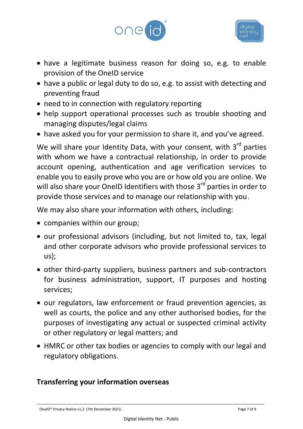



- have a legitimate business reason for doing so, e.g. to enable provision of the OneID service
- have a public or legal duty to do so, e.g. to assist with detecting and preventing fraud
- need to in connection with regulatory reporting
- help support operational processes such as trouble shooting and managing disputes/legal claims
- have asked you for your permission to share it, and you've agreed.

We will share your Identity Data, with your consent, with 3<sup>rd</sup> parties with whom we have a contractual relationship, in order to provide account opening, authentication and age verification services to enable you to easily prove who you are or how old you are online. We will also share your OneID Identifiers with those 3<sup>rd</sup> parties in order to provide those services and to manage our relationship with you.

We may also share your information with others, including:

- companies within our group;
- our professional advisors (including, but not limited to, tax, legal and other corporate advisors who provide professional services to us);
- other third-party suppliers, business partners and sub-contractors for business administration, support, IT purposes and hosting services;
- our regulators, law enforcement or fraud prevention agencies, as well as courts, the police and any other authorised bodies, for the purposes of investigating any actual or suspected criminal activity or other regulatory or legal matters; and
- HMRC or other tax bodies or agencies to comply with our legal and regulatory obligations.

# **Transferring your information overseas**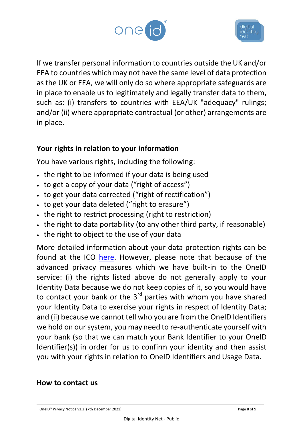



If we transfer personal information to countries outside the UK and/or EEA to countries which may not have the same level of data protection as the UK or EEA, we will only do so where appropriate safeguards are in place to enable us to legitimately and legally transfer data to them, such as: (i) transfers to countries with EEA/UK "adequacy" rulings; and/or (ii) where appropriate contractual (or other) arrangements are in place.

### **Your rights in relation to your information**

You have various rights, including the following:

- the right to be informed if your data is being used
- to get a copy of your data ("right of access")
- to get your data corrected ("right of rectification")
- to get your data deleted ("right to erasure")
- the right to restrict processing (right to restriction)
- the right to data portability (to any other third party, if reasonable)
- the right to object to the use of your data

More detailed information about your data protection rights can be found at the ICO [here.](https://ico.org.uk/your-data-matters/) However, please note that because of the advanced privacy measures which we have built-in to the OneID service: (i) the rights listed above do not generally apply to your Identity Data because we do not keep copies of it, so you would have to contact your bank or the  $3<sup>rd</sup>$  parties with whom you have shared your Identity Data to exercise your rights in respect of Identity Data; and (ii) because we cannot tell who you are from the OneID Identifiers we hold on our system, you may need to re-authenticate yourself with your bank (so that we can match your Bank Identifier to your OneID Identifier(s)) in order for us to confirm your identity and then assist you with your rights in relation to OneID Identifiers and Usage Data.

#### **How to contact us**